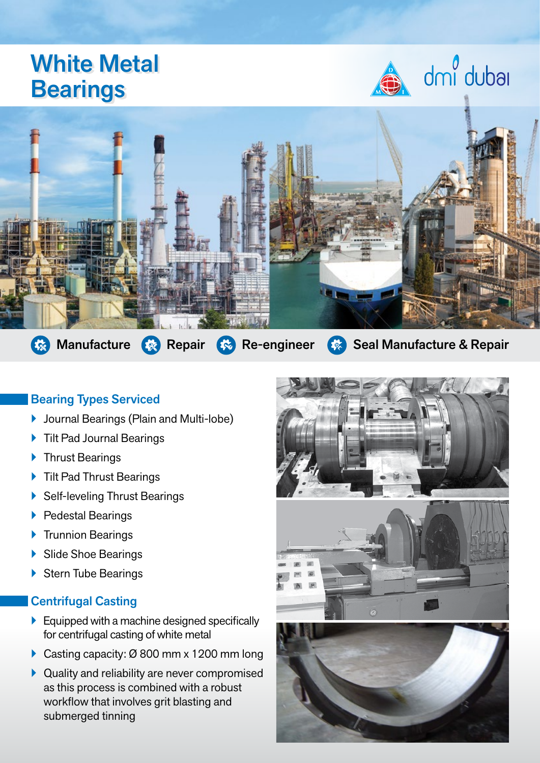# White Metal **Bearings**





Manufacture  $\mathbb{R}$  Repair  $\mathbb{R}$  Re-engineer  $\mathbb{R}$  Seal Manufacture & Repair

## Bearing Types Serviced

- **D** Journal Bearings (Plain and Multi-lobe)
- ▶ Tilt Pad Journal Bearings
- ▶ Thrust Bearings
- ▶ Tilt Pad Thrust Bearings
- ▶ Self-leveling Thrust Bearings
- ▶ Pedestal Bearings
- **Trunnion Bearings**
- ▶ Slide Shoe Bearings
- ▶ Stern Tube Bearings

#### Centrifugal Casting

- $\blacktriangleright$  Equipped with a machine designed specifically for centrifugal casting of white metal
- ▶ Casting capacity: Ø 800 mm x 1200 mm long
- $\blacktriangleright$  Quality and reliability are never compromised as this process is combined with a robust workflow that involves grit blasting and submerged tinning